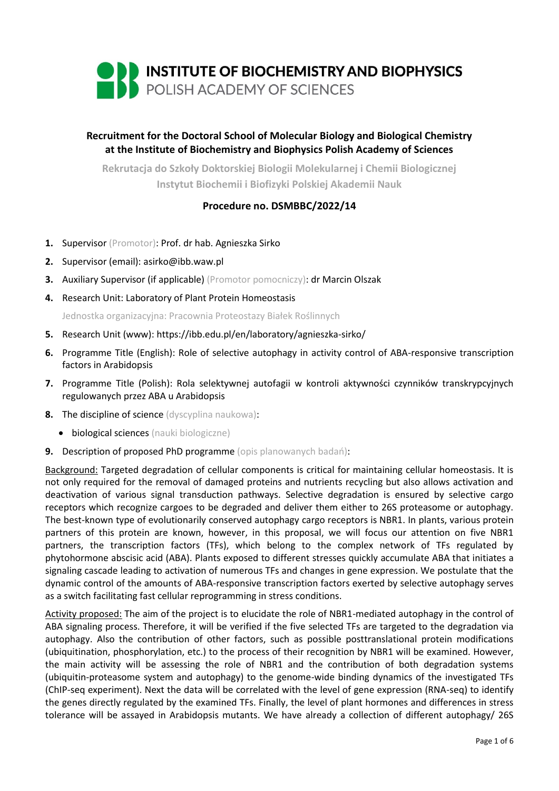

# **Recruitment for the Doctoral School of Molecular Biology and Biological Chemistry at the Institute of Biochemistry and Biophysics Polish Academy of Sciences**

**Rekrutacja do Szkoły Doktorskiej Biologii Molekularnej i Chemii Biologicznej Instytut Biochemii i Biofizyki Polskiej Akademii Nauk**

# **Procedure no. DSMBBC/2022/14**

- **1.** Supervisor (Promotor): Prof. dr hab. Agnieszka Sirko
- **2.** Supervisor (email): asirko@ibb.waw.pl
- **3.** Auxiliary Supervisor (if applicable) (Promotor pomocniczy): dr Marcin Olszak
- **4.** Research Unit: Laboratory of Plant Protein Homeostasis

Jednostka organizacyjna: Pracownia Proteostazy Białek Roślinnych

- **5.** Research Unit (www): <https://ibb.edu.pl/en/laboratory/agnieszka-sirko/>
- **6.** Programme Title (English): Role of selective autophagy in activity control of ABA-responsive transcription factors in Arabidopsis
- **7.** Programme Title (Polish): Rola selektywnej autofagii w kontroli aktywności czynników transkrypcyjnych regulowanych przez ABA u Arabidopsis
- **8.** The discipline of science (dyscyplina naukowa):
	- biological sciences (nauki biologiczne)
- **9.** Description of proposed PhD programme (opis planowanych badań):

Background: Targeted degradation of cellular components is critical for maintaining cellular homeostasis. It is not only required for the removal of damaged proteins and nutrients recycling but also allows activation and deactivation of various signal transduction pathways. Selective degradation is ensured by selective cargo receptors which recognize cargoes to be degraded and deliver them either to 26S proteasome or autophagy. The best-known type of evolutionarily conserved autophagy cargo receptors is NBR1. In plants, various protein partners of this protein are known, however, in this proposal, we will focus our attention on five NBR1 partners, the transcription factors (TFs), which belong to the complex network of TFs regulated by phytohormone abscisic acid (ABA). Plants exposed to different stresses quickly accumulate ABA that initiates a signaling cascade leading to activation of numerous TFs and changes in gene expression. We postulate that the dynamic control of the amounts of ABA-responsive transcription factors exerted by selective autophagy serves as a switch facilitating fast cellular reprogramming in stress conditions.

Activity proposed: The aim of the project is to elucidate the role of NBR1-mediated autophagy in the control of ABA signaling process. Therefore, it will be verified if the five selected TFs are targeted to the degradation via autophagy. Also the contribution of other factors, such as possible posttranslational protein modifications (ubiquitination, phosphorylation, etc.) to the process of their recognition by NBR1 will be examined. However, the main activity will be assessing the role of NBR1 and the contribution of both degradation systems (ubiquitin-proteasome system and autophagy) to the genome-wide binding dynamics of the investigated TFs (ChIP-seq experiment). Next the data will be correlated with the level of gene expression (RNA-seq) to identify the genes directly regulated by the examined TFs. Finally, the level of plant hormones and differences in stress tolerance will be assayed in Arabidopsis mutants. We have already a collection of different autophagy/ 26S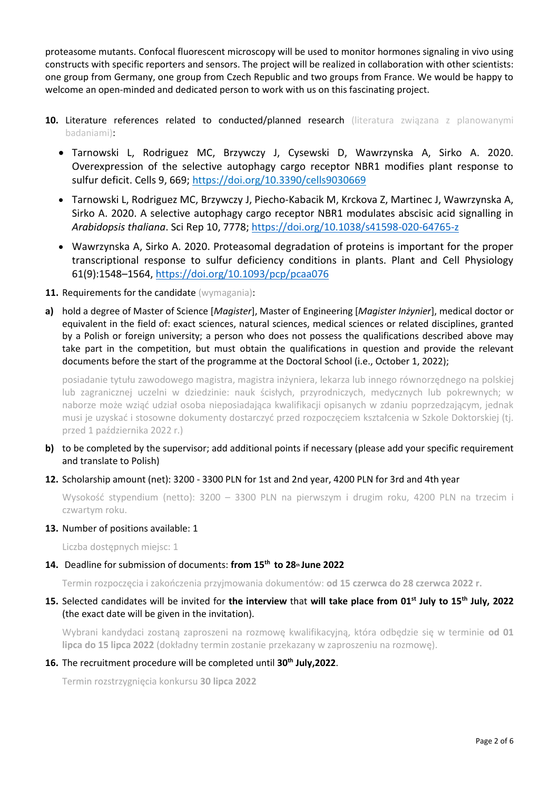proteasome mutants. Confocal fluorescent microscopy will be used to monitor hormones signaling in vivo using constructs with specific reporters and sensors. The project will be realized in collaboration with other scientists: one group from Germany, one group from Czech Republic and two groups from France. We would be happy to welcome an open-minded and dedicated person to work with us on this fascinating project.

- **10.** Literature references related to conducted/planned research (literatura związana z planowanymi badaniami):
	- Tarnowski L, Rodriguez MC, Brzywczy J, Cysewski D, Wawrzynska A, Sirko A. 2020. Overexpression of the selective autophagy cargo receptor NBR1 modifies plant response to sulfur deficit. Cells 9, 669[; https://doi.org/10.3390/cells9030669](https://doi.org/10.3390/cells9030669)
	- Tarnowski L, Rodriguez MC, Brzywczy J, Piecho-Kabacik M, Krckova Z, Martinec J, Wawrzynska A, Sirko A. 2020. A selective autophagy cargo receptor NBR1 modulates abscisic acid signalling in *Arabidopsis thaliana*. Sci Rep 10, 7778;<https://doi.org/10.1038/s41598-020-64765-z>
	- Wawrzynska A, Sirko A. 2020. Proteasomal degradation of proteins is important for the proper transcriptional response to sulfur deficiency conditions in plants. Plant and Cell Physiology 61(9):1548–1564[, https://doi.org/10.1093/pcp/pcaa076](https://doi.org/10.1093/pcp/pcaa076)
- 11. Requirements for the candidate (wymagania):
- **a)** hold a degree of Master of Science [*Magister*], Master of Engineering [*Magister Inżynier*], medical doctor or equivalent in the field of: exact sciences, natural sciences, medical sciences or related disciplines, granted by a Polish or foreign university; a person who does not possess the qualifications described above may take part in the competition, but must obtain the qualifications in question and provide the relevant documents before the start of the programme at the Doctoral School (i.e., October 1, 2022);

posiadanie tytułu zawodowego magistra, magistra inżyniera, lekarza lub innego równorzędnego na polskiej lub zagranicznej uczelni w dziedzinie: nauk ścisłych, przyrodniczych, medycznych lub pokrewnych; w naborze może wziąć udział osoba nieposiadająca kwalifikacji opisanych w zdaniu poprzedzającym, jednak musi je uzyskać i stosowne dokumenty dostarczyć przed rozpoczęciem kształcenia w Szkole Doktorskiej (tj. przed 1 października 2022 r.)

- **b)** to be completed by the supervisor; add additional points if necessary (please add your specific requirement and translate to Polish)
- **12.** Scholarship amount (net): 3200 3300 PLN for 1st and 2nd year, 4200 PLN for 3rd and 4th year

Wysokość stypendium (netto): 3200 – 3300 PLN na pierwszym i drugim roku, 4200 PLN na trzecim i czwartym roku.

### **13.** Number of positions available: 1

Liczba dostępnych miejsc: 1

# **14.** Deadline for submission of documents: **from 15th to 28th June 2022**

Termin rozpoczęcia i zakończenia przyjmowania dokumentów: **od 15 czerwca do 28 czerwca 2022 r.** 

**15.** Selected candidates will be invited for **the interview** that **will take place from 01st July to 15th July, 2022** (the exact date will be given in the invitation).

Wybrani kandydaci zostaną zaproszeni na rozmowę kwalifikacyjną, która odbędzie się w terminie **od 01 lipca do 15 lipca 2022** (dokładny termin zostanie przekazany w zaproszeniu na rozmowę).

# **16.** The recruitment procedure will be completed until **30th July,2022**.

Termin rozstrzygnięcia konkursu **30 lipca 2022**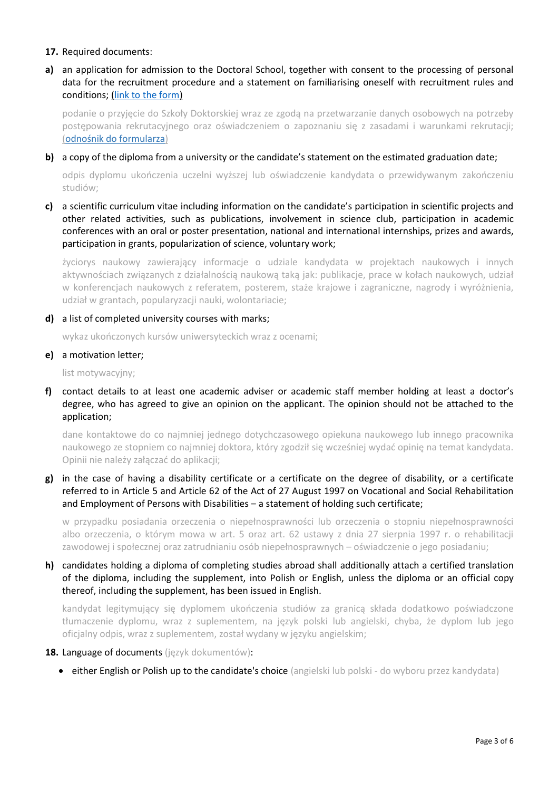### **17.** Required documents:

**a)** an application for admission to the Doctoral School, together with consent to the processing of personal data for the recruitment procedure and a statement on familiarising oneself with recruitment rules and conditions; [\(link to the form\)](https://ibb.edu.pl/app/uploads/2022/05/application-form_doctoralschool_ibb-pas.docx)

podanie o przyjęcie do Szkoły Doktorskiej wraz ze zgodą na przetwarzanie danych osobowych na potrzeby postępowania rekrutacyjnego oraz oświadczeniem o zapoznaniu się z zasadami i warunkami rekrutacji; ([odnośnik do formularza](https://ibb.edu.pl/app/uploads/2022/05/application-form_doctoralschool_ibb-pas.docx))

## **b)** a copy of the diploma from a university or the candidate's statement on the estimated graduation date;

odpis dyplomu ukończenia uczelni wyższej lub oświadczenie kandydata o przewidywanym zakończeniu studiów;

**c)** a scientific curriculum vitae including information on the candidate's participation in scientific projects and other related activities, such as publications, involvement in science club, participation in academic conferences with an oral or poster presentation, national and international internships, prizes and awards, participation in grants, popularization of science, voluntary work;

życiorys naukowy zawierający informacje o udziale kandydata w projektach naukowych i innych aktywnościach związanych z działalnością naukową taką jak: publikacje, prace w kołach naukowych, udział w konferencjach naukowych z referatem, posterem, staże krajowe i zagraniczne, nagrody i wyróżnienia, udział w grantach, popularyzacji nauki, wolontariacie;

### **d)** a list of completed university courses with marks;

wykaz ukończonych kursów uniwersyteckich wraz z ocenami;

## **e)** a motivation letter;

list motywacyjny;

**f)** contact details to at least one academic adviser or academic staff member holding at least a doctor's degree, who has agreed to give an opinion on the applicant. The opinion should not be attached to the application;

dane kontaktowe do co najmniej jednego dotychczasowego opiekuna naukowego lub innego pracownika naukowego ze stopniem co najmniej doktora, który zgodził się wcześniej wydać opinię na temat kandydata. Opinii nie należy załączać do aplikacji;

**g)** in the case of having a disability certificate or a certificate on the degree of disability, or a certificate referred to in Article 5 and Article 62 of the Act of 27 August 1997 on Vocational and Social Rehabilitation and Employment of Persons with Disabilities - a statement of holding such certificate;

w przypadku posiadania orzeczenia o niepełnosprawności lub orzeczenia o stopniu niepełnosprawności albo orzeczenia, o którym mowa w art. 5 oraz art. 62 ustawy z dnia 27 sierpnia 1997 r. o rehabilitacji zawodowej i społecznej oraz zatrudnianiu osób niepełnosprawnych – oświadczenie o jego posiadaniu;

## **h)** candidates holding a diploma of completing studies abroad shall additionally attach a certified translation of the diploma, including the supplement, into Polish or English, unless the diploma or an official copy thereof, including the supplement, has been issued in English.

kandydat legitymujący się dyplomem ukończenia studiów za granicą składa dodatkowo poświadczone tłumaczenie dyplomu, wraz z suplementem, na język polski lub angielski, chyba, że dyplom lub jego oficjalny odpis, wraz z suplementem, został wydany w języku angielskim;

### **18.** Language of documents (język dokumentów):

• either English or Polish up to the candidate's choice (angielski lub polski - do wyboru przez kandydata)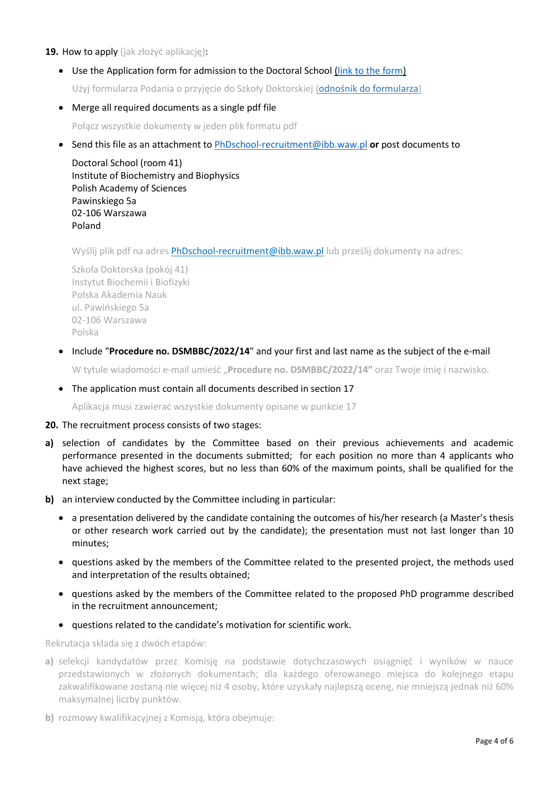### **19.** How to apply (jak złożyć aplikację):

• Use the Application form for admission to the Doctoral School [\(link to the form\)](https://ibb.edu.pl/app/uploads/2022/05/application-form_doctoralschool_ibb-pas.docx)

Użyj formularza Podania o przyjęcie do Szkoły Doktorskiej ([odnośnik do formularza](https://ibb.edu.pl/app/uploads/2022/05/application-form_doctoralschool_ibb-pas.docx))

- Merge all required documents as a single pdf file Połącz wszystkie dokumenty w jeden plik formatu pdf
- Send this file as an attachment t[o PhDschool-recruitment@ibb.waw.pl](mailto:PhDschool-recruitment@ibb.waw.pl) **or** post documents to

Doctoral School (room 41) Institute of Biochemistry and Biophysics Polish Academy of Sciences Pawinskiego 5a 02-106 Warszawa Poland

Wyślij plik pdf na adres [PhDschool-recruitment@ibb.waw.pl](mailto:PhDschool-recruitment@ibb.waw.pl) lub prześlij dokumenty na adres:

Szkoła Doktorska (pokój 41) Instytut Biochemii i Biofizyki Polska Akademia Nauk ul. Pawińskiego 5a 02-106 Warszawa Polska

• Include "**Procedure no. DSMBBC/2022/14**" and your first and last name as the subject of the e-mail

W tytule wiadomości e-mail umieść "**Procedure no. DSMBBC/2022/14"** oraz Twoje imię i nazwisko.

• The application must contain all documents described in section 17

Aplikacja musi zawierać wszystkie dokumenty opisane w punkcie 17

#### **20.** The recruitment process consists of two stages:

- **a)** selection of candidates by the Committee based on their previous achievements and academic performance presented in the documents submitted; for each position no more than 4 applicants who have achieved the highest scores, but no less than 60% of the maximum points, shall be qualified for the next stage;
- **b)** an interview conducted by the Committee including in particular:
	- a presentation delivered by the candidate containing the outcomes of his/her research (a Master's thesis or other research work carried out by the candidate); the presentation must not last longer than 10 minutes;
	- questions asked by the members of the Committee related to the presented project, the methods used and interpretation of the results obtained;
	- questions asked by the members of the Committee related to the proposed PhD programme described in the recruitment announcement;
	- questions related to the candidate's motivation for scientific work.

Rekrutacja składa się z dwóch etapów:

- **a)** selekcji kandydatów przez Komisję na podstawie dotychczasowych osiągnięć i wyników w nauce przedstawionych w złożonych dokumentach; dla każdego oferowanego miejsca do kolejnego etapu zakwalifikowane zostaną nie więcej niż 4 osoby, które uzyskały najlepszą ocenę, nie mniejszą jednak niż 60% maksymalnej liczby punktów.
- **b)** rozmowy kwalifikacyjnej z Komisją, która obejmuje: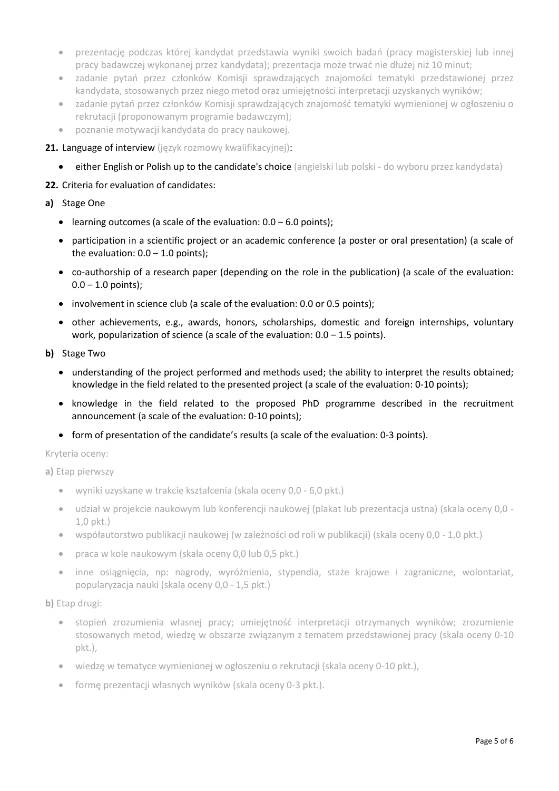- prezentację podczas której kandydat przedstawia wyniki swoich badań (pracy magisterskiej lub innej pracy badawczej wykonanej przez kandydata); prezentacja może trwać nie dłużej niż 10 minut;
- zadanie pytań przez członków Komisji sprawdzających znajomości tematyki przedstawionej przez kandydata, stosowanych przez niego metod oraz umiejętności interpretacji uzyskanych wyników;
- zadanie pytań przez członków Komisji sprawdzających znajomość tematyki wymienionej w ogłoszeniu o rekrutacji (proponowanym programie badawczym);
- poznanie motywacji kandydata do pracy naukowej.
- 21. Language of interview (język rozmowy kwalifikacyjnej):
	- either English or Polish up to the candidate's choice (angielski lub polski do wyboru przez kandydata)

### **22.** Criteria for evaluation of candidates:

- **a)** Stage One
	- learning outcomes (a scale of the evaluation:  $0.0 6.0$  points);
	- participation in a scientific project or an academic conference (a poster or oral presentation) (a scale of the evaluation:  $0.0 - 1.0$  points);
	- co-authorship of a research paper (depending on the role in the publication) (a scale of the evaluation:  $0.0 - 1.0$  points);
	- involvement in science club (a scale of the evaluation: 0.0 or 0.5 points);
	- other achievements, e.g., awards, honors, scholarships, domestic and foreign internships, voluntary work, popularization of science (a scale of the evaluation:  $0.0 - 1.5$  points).
- **b)** Stage Two
	- understanding of the project performed and methods used; the ability to interpret the results obtained; knowledge in the field related to the presented project (a scale of the evaluation: 0-10 points);
	- knowledge in the field related to the proposed PhD programme described in the recruitment announcement (a scale of the evaluation: 0-10 points);
	- form of presentation of the candidate's results (a scale of the evaluation: 0-3 points).

Kryteria oceny:

**a)** Etap pierwszy

- wyniki uzyskane w trakcie kształcenia (skala oceny 0,0 6,0 pkt.)
- udział w projekcie naukowym lub konferencji naukowej (plakat lub prezentacja ustna) (skala oceny 0,0 1,0 pkt.)
- współautorstwo publikacji naukowej (w zależności od roli w publikacji) (skala oceny 0,0 1,0 pkt.)
- praca w kole naukowym (skala oceny 0,0 lub 0,5 pkt.)
- inne osiągnięcia, np: nagrody, wyróżnienia, stypendia, staże krajowe i zagraniczne, wolontariat, popularyzacja nauki (skala oceny 0,0 - 1,5 pkt.)

**b)** Etap drugi:

- stopień zrozumienia własnej pracy; umiejętność interpretacji otrzymanych wyników; zrozumienie stosowanych metod, wiedzę w obszarze związanym z tematem przedstawionej pracy (skala oceny 0-10 pkt.),
- wiedzę w tematyce wymienionej w ogłoszeniu o rekrutacji (skala oceny 0-10 pkt.),
- forme prezentacji własnych wyników (skala oceny 0-3 pkt.).